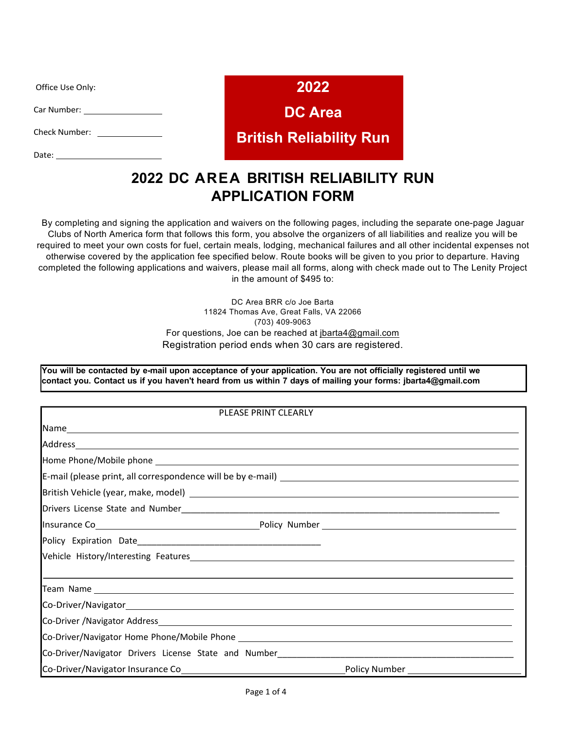Office Use Only:

Car Number:

Check Number: \_\_\_\_\_\_\_\_\_\_\_\_\_

Date:

**2022**

**DC Area**

## **British Reliability Run**

# **2022 DC AREA BRITISH RELIABILITY RUN APPLICATION FORM**

By completing and signing the application and waivers on the following pages, including the separate one-page Jaguar Clubs of North America form that follows this form, you absolve the organizers of all liabilities and realize you will be required to meet your own costs for fuel, certain meals, lodging, mechanical failures and all other incidental expenses not otherwise covered by the application fee specified below. Route books will be given to you prior to departure. Having completed the following applications and waivers, please mail all forms, along with check made out to The Lenity Project in the amount of \$495 to:

> DC Area BRR c/o Joe Barta 11824 Thomas Ave, Great Falls, VA 22066 (703) 409-9063 For questions, Joe can be reached at jbarta4@gmail.com Registration period ends when 30 cars are registered.

You will be contacted by e-mail upon acceptance of your application. You are not officially registered until we contact you. Contact us if you haven't heard from us within 7 days of mailing your forms: jbarta4@gmail.com

| PLEASE PRINT CLEARLY                                                                                           |  |  |
|----------------------------------------------------------------------------------------------------------------|--|--|
|                                                                                                                |  |  |
|                                                                                                                |  |  |
| Home Phone/Mobile phone experience and a series of the series of the series of the series of the series of the |  |  |
|                                                                                                                |  |  |
|                                                                                                                |  |  |
|                                                                                                                |  |  |
|                                                                                                                |  |  |
|                                                                                                                |  |  |
|                                                                                                                |  |  |
| ,我们也不会有什么。""我们的人,我们也不会有什么?""我们的人,我们也不会有什么?""我们的人,我们也不会有什么?""我们的人,我们也不会有什么?""我们的人                               |  |  |
|                                                                                                                |  |  |
|                                                                                                                |  |  |
|                                                                                                                |  |  |
|                                                                                                                |  |  |
|                                                                                                                |  |  |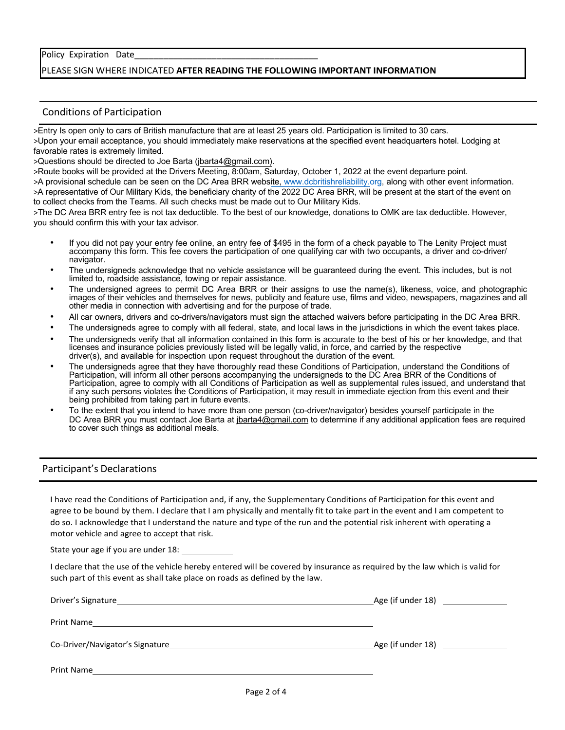### Policy Expiration Date

## PLEASE SIGN WHERE INDICATED **AFTER READING THE FOLLOWING IMPORTANT INFORMATION**

### Conditions of Participation

>Entry Is open only to cars of British manufacture that are at least 25 years old. Participation is limited to 30 cars. >Upon your email acceptance, you should immediately make reservations at the specified event headquarters hotel. Lodging at favorable rates is extremely limited.

>Questions should be directed to Joe Barta (jbarta4@gmail.com).

>Route books will be provided at the Drivers Meeting, 8:00am, Saturday, October 1, 2022 at the event departure point.

>A provisional schedule can be seen on the DC Area BRR website, www.dcbritishreliability.org, along with other event information. >A representative of Our Military Kids, the beneficiary charity of the 2022 DC Area BRR, will be present at the start of the event on to collect checks from the Teams. All such checks must be made out to Our Military Kids.

>The DC Area BRR entry fee is not tax deductible. To the best of our knowledge, donations to OMK are tax deductible. However, you should confirm this with your tax advisor.

- If you did not pay your entry fee online, an entry fee of \$495 in the form of a check payable to The Lenity Project must accompany this form. This fee covers the participation of one qualifying car with two occupants, a driver and co-driver/ navigator.
- The undersigneds acknowledge that no vehicle assistance will be guaranteed during the event. This includes, but is not limited to, roadside assistance, towing or repair assistance.
- The undersigned agrees to permit DC Area BRR or their assigns to use the name(s), likeness, voice, and photographic images of their vehicles and themselves for news, publicity and feature use, films and video, newspapers, magazines and all other media in connection with advertising and for the purpose of trade.
- All car owners, drivers and co-drivers/navigators must sign the attached waivers before participating in the DC Area BRR.
- The undersigneds agree to comply with all federal, state, and local laws in the jurisdictions in which the event takes place.
- The undersigneds verify that all information contained in this form is accurate to the best of his or her knowledge, and that licenses and insurance policies previously listed will be legally valid, in force, and carried by the respective driver(s), and available for inspection upon request throughout the duration of the event.
- The undersigneds agree that they have thoroughly read these Conditions of Participation, understand the Conditions of Participation, will inform all other persons accompanying the undersigneds to the DC Area BRR of the Conditions of Participation, agree to comply with all Conditions of Participation as well as supplemental rules issued, and understand that if any such persons violates the Conditions of Participation, it may result in immediate ejection from this event and their being prohibited from taking part in future events.
- To the extent that you intend to have more than one person (co-driver/navigator) besides yourself participate in the DC Area BRR you must contact Joe Barta at jbarta4@gmail.com to determine if any additional application fees are required to cover such things as additional meals.

#### Participant's Declarations

I have read the Conditions of Participation and, if any, the Supplementary Conditions of Participation for this event and agree to be bound by them. I declare that I am physically and mentally fit to take part in the event and I am competent to do so. I acknowledge that I understand the nature and type of the run and the potential risk inherent with operating a motor vehicle and agree to accept that risk.

State your age if you are under 18:

I declare that the use of the vehicle hereby entered will be covered by insurance as required by the law which is valid for such part of this event as shall take place on roads as defined by the law.

| Co-Driver/Navigator's Signature |  |
|---------------------------------|--|
| Print Name                      |  |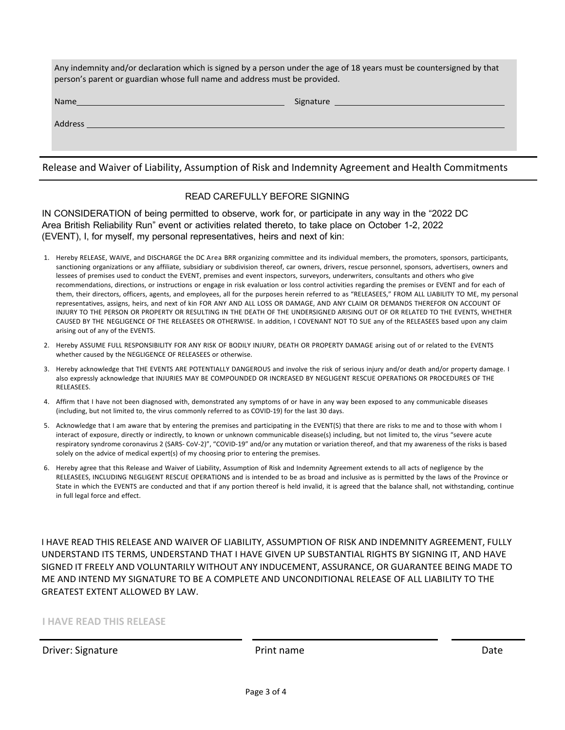| Any indemnity and/or declaration which is signed by a person under the age of 18 years must be countersigned by that<br>person's parent or guardian whose full name and address must be provided. |                                                                                                                                                                                                                                |  |
|---------------------------------------------------------------------------------------------------------------------------------------------------------------------------------------------------|--------------------------------------------------------------------------------------------------------------------------------------------------------------------------------------------------------------------------------|--|
|                                                                                                                                                                                                   | Signature 100 million and the state of the state of the state of the state of the state of the state of the state of the state of the state of the state of the state of the state of the state of the state of the state of t |  |
| Address and the contract of the contract of the contract of the contract of the contract of the contract of the                                                                                   |                                                                                                                                                                                                                                |  |
|                                                                                                                                                                                                   |                                                                                                                                                                                                                                |  |

Release and Waiver of Liability, Assumption of Risk and Indemnity Agreement and Health Commitments

## READ CAREFULLY BEFORE SIGNING

IN CONSIDERATION of being permitted to observe, work for, or participate in any way in the "2022 DC Area British Reliability Run" event or activities related thereto, to take place on October 1-2, 2022 (EVENT), I, for myself, my personal representatives, heirs and next of kin:

- 1. Hereby RELEASE, WAIVE, and DISCHARGE the DC Area BRR organizing committee and its individual members, the promoters, sponsors, participants, sanctioning organizations or any affiliate, subsidiary or subdivision thereof, car owners, drivers, rescue personnel, sponsors, advertisers, owners and lessees of premises used to conduct the EVENT, premises and event inspectors, surveyors, underwriters, consultants and others who give recommendations, directions, or instructions or engage in risk evaluation or loss control activities regarding the premises or EVENT and for each of them, their directors, officers, agents, and employees, all for the purposes herein referred to as "RELEASEES," FROM ALL LIABILITY TO ME, my personal representatives, assigns, heirs, and next of kin FOR ANY AND ALL LOSS OR DAMAGE, AND ANY CLAIM OR DEMANDS THEREFOR ON ACCOUNT OF INJURY TO THE PERSON OR PROPERTY OR RESULTING IN THE DEATH OF THE UNDERSIGNED ARISING OUT OF OR RELATED TO THE EVENTS, WHETHER CAUSED BY THE NEGLIGENCE OF THE RELEASEES OR OTHERWISE. In addition, I COVENANT NOT TO SUE any of the RELEASEES based upon any claim arising out of any of the EVENTS.
- 2. Hereby ASSUME FULL RESPONSIBILITY FOR ANY RISK OF BODILY INJURY, DEATH OR PROPERTY DAMAGE arising out of or related to the EVENTS whether caused by the NEGLIGENCE OF RELEASEES or otherwise.
- 3. Hereby acknowledge that THE EVENTS ARE POTENTIALLY DANGEROUS and involve the risk of serious injury and/or death and/or property damage. I also expressly acknowledge that INJURIES MAY BE COMPOUNDED OR INCREASED BY NEGLIGENT RESCUE OPERATIONS OR PROCEDURES OF THE RELEASEES.
- 4. Affirm that I have not been diagnosed with, demonstrated any symptoms of or have in any way been exposed to any communicable diseases (including, but not limited to, the virus commonly referred to as COVID-19) for the last 30 days.
- 5. Acknowledge that I am aware that by entering the premises and participating in the EVENT(S) that there are risks to me and to those with whom I interact of exposure, directly or indirectly, to known or unknown communicable disease(s) including, but not limited to, the virus "severe acute respiratory syndrome coronavirus 2 (SARS- CoV-2)", "COVID-19" and/or any mutation or variation thereof, and that my awareness of the risks is based solely on the advice of medical expert(s) of my choosing prior to entering the premises.
- 6. Hereby agree that this Release and Waiver of Liability, Assumption of Risk and Indemnity Agreement extends to all acts of negligence by the RELEASEES, INCLUDING NEGLIGENT RESCUE OPERATIONS and is intended to be as broad and inclusive as is permitted by the laws of the Province or State in which the EVENTS are conducted and that if any portion thereof is held invalid, it is agreed that the balance shall, not withstanding, continue in full legal force and effect.

I HAVE READ THIS RELEASE AND WAIVER OF LIABILITY, ASSUMPTION OF RISK AND INDEMNITY AGREEMENT, FULLY UNDERSTAND ITS TERMS, UNDERSTAND THAT I HAVE GIVEN UP SUBSTANTIAL RIGHTS BY SIGNING IT, AND HAVE SIGNED IT FREELY AND VOLUNTARILY WITHOUT ANY INDUCEMENT, ASSURANCE, OR GUARANTEE BEING MADE TO ME AND INTEND MY SIGNATURE TO BE A COMPLETE AND UNCONDITIONAL RELEASE OF ALL LIABILITY TO THE GREATEST EXTENT ALLOWED BY LAW.

**I HAVE READ THIS RELEASE**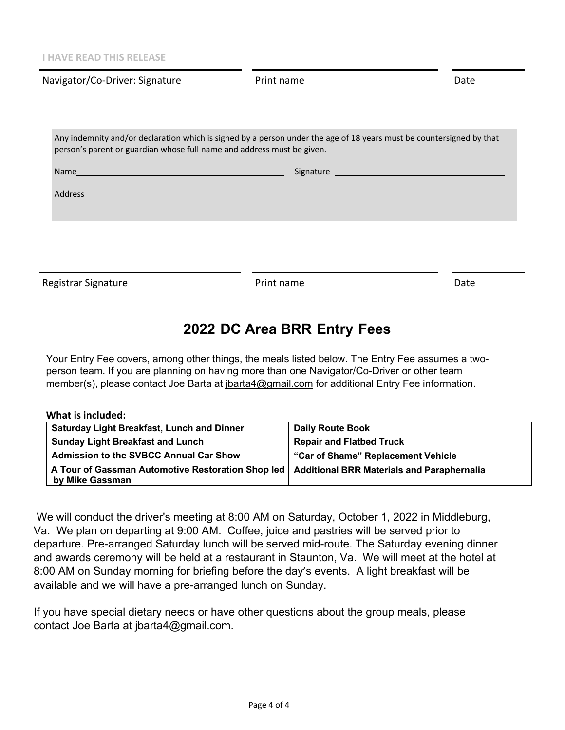| Navigator/Co-Driver: Signature                                                                                                                                                                                                 | Print name | Date |
|--------------------------------------------------------------------------------------------------------------------------------------------------------------------------------------------------------------------------------|------------|------|
|                                                                                                                                                                                                                                |            |      |
| Any indemnity and/or declaration which is signed by a person under the age of 18 years must be countersigned by that<br>person's parent or guardian whose full name and address must be given.                                 |            |      |
| Name and the contract of the contract of the contract of the contract of the contract of the contract of the contract of the contract of the contract of the contract of the contract of the contract of the contract of the c |            |      |
| Address and the contract of the contract of the contract of the contract of the contract of the contract of the                                                                                                                |            |      |
|                                                                                                                                                                                                                                |            |      |
|                                                                                                                                                                                                                                |            |      |
|                                                                                                                                                                                                                                |            |      |
| Registrar Signature                                                                                                                                                                                                            | Print name | Date |

# **2022 DC Area BRR Entry Fees**

Your Entry Fee covers, among other things, the meals listed below. The Entry Fee assumes a twoperson team. If you are planning on having more than one Navigator/Co-Driver or other team member(s), please contact Joe Barta at jbarta4@gmail.com for additional Entry Fee information.

## **What is included:**

| <b>Saturday Light Breakfast, Lunch and Dinner</b>                                                                 | <b>Daily Route Book</b>            |
|-------------------------------------------------------------------------------------------------------------------|------------------------------------|
| <b>Sunday Light Breakfast and Lunch</b>                                                                           | <b>Repair and Flatbed Truck</b>    |
| Admission to the SVBCC Annual Car Show                                                                            | "Car of Shame" Replacement Vehicle |
| A Tour of Gassman Automotive Restoration Shop led   Additional BRR Materials and Paraphernalia<br>by Mike Gassman |                                    |

We will conduct the driver's meeting at 8:00 AM on Saturday, October 1, 2022 in Middleburg, Va. We plan on departing at 9:00 AM. Coffee, juice and pastries will be served prior to departure. Pre-arranged Saturday lunch will be served mid-route. The Saturday evening dinner and awards ceremony will be held at a restaurant in Staunton, Va. We will meet at the hotel at 8:00 AM on Sunday morning for briefing before the day's events. A light breakfast will be available and we will have a pre-arranged lunch on Sunday.

If you have special dietary needs or have other questions about the group meals, please contact Joe Barta at jbarta4@gmail.com.